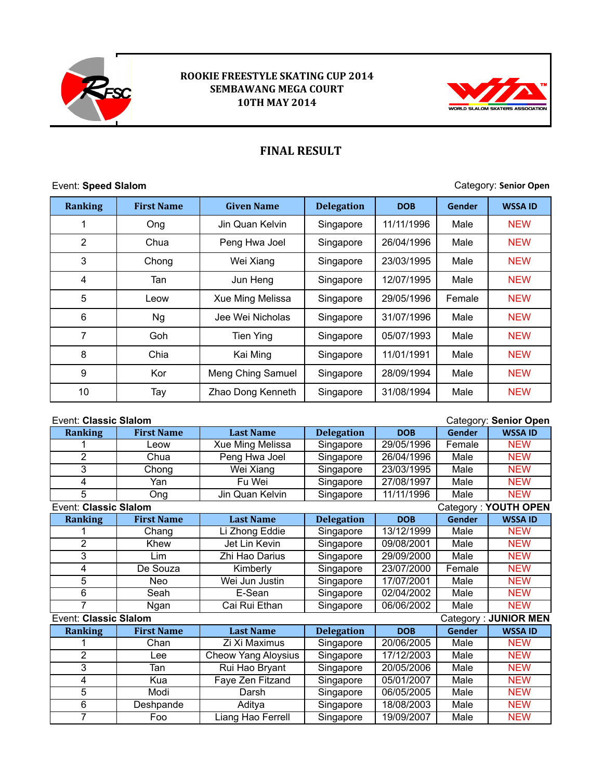

## **ROOKIE FREESTYLE SKATING CUP 2014 SEMBAWANG MEGA COURT 10TH MAY 2014**



## **FINAL RESULT**

Event: Speed Slalom **Category: Senior Open** 

| <b>Ranking</b> | <b>First Name</b> | <b>Given Name</b> | <b>Delegation</b> | <b>DOB</b> | Gender | <b>WSSA ID</b> |
|----------------|-------------------|-------------------|-------------------|------------|--------|----------------|
| 1              | Ong               | Jin Quan Kelvin   | Singapore         | 11/11/1996 | Male   | <b>NEW</b>     |
| $\overline{2}$ | Chua              | Peng Hwa Joel     | Singapore         | 26/04/1996 | Male   | <b>NEW</b>     |
| 3              | Chong             | Wei Xiang         | Singapore         | 23/03/1995 | Male   | <b>NEW</b>     |
| 4              | Tan               | Jun Heng          | Singapore         | 12/07/1995 | Male   | <b>NEW</b>     |
| 5              | Leow              | Xue Ming Melissa  | Singapore         | 29/05/1996 | Female | <b>NEW</b>     |
| 6              | <b>Ng</b>         | Jee Wei Nicholas  | Singapore         | 31/07/1996 | Male   | <b>NEW</b>     |
| 7              | Goh               | <b>Tien Ying</b>  | Singapore         | 05/07/1993 | Male   | <b>NEW</b>     |
| 8              | Chia              | Kai Ming          | Singapore         | 11/01/1991 | Male   | <b>NEW</b>     |
| 9              | Kor               | Meng Ching Samuel | Singapore         | 28/09/1994 | Male   | <b>NEW</b>     |
| 10             | Tay               | Zhao Dong Kenneth | Singapore         | 31/08/1994 | Male   | <b>NEW</b>     |

| Event: Classic Slalom<br>Category: Senior Open       |                   |                            |                   |            |               |                      |
|------------------------------------------------------|-------------------|----------------------------|-------------------|------------|---------------|----------------------|
| <b>Ranking</b>                                       | <b>First Name</b> | <b>Last Name</b>           | <b>Delegation</b> | <b>DOB</b> | Gender        | <b>WSSA ID</b>       |
|                                                      | Leow              | Xue Ming Melissa           | Singapore         | 29/05/1996 | Female        | <b>NEW</b>           |
| 2                                                    | Chua              | Peng Hwa Joel              | Singapore         | 26/04/1996 | Male          | <b>NEW</b>           |
| 3                                                    | Chong             | Wei Xiang                  | Singapore         | 23/03/1995 | Male          | <b>NEW</b>           |
| 4                                                    | Yan               | Fu Wei                     | Singapore         | 27/08/1997 | Male          | <b>NEW</b>           |
| 5                                                    | Ong               | Jin Quan Kelvin            | Singapore         | 11/11/1996 | Male          | <b>NEW</b>           |
| <b>Event: Classic Slalom</b>                         |                   |                            |                   |            |               | Category: YOUTH OPEN |
| <b>Ranking</b>                                       | <b>First Name</b> | <b>Last Name</b>           | <b>Delegation</b> | <b>DOB</b> | <b>Gender</b> | <b>WSSA ID</b>       |
|                                                      | Chang             | Li Zhong Eddie             | Singapore         | 13/12/1999 | Male          | <b>NEW</b>           |
| $\overline{2}$                                       | Khew              | Jet Lin Kevin              | Singapore         | 09/08/2001 | Male          | <b>NEW</b>           |
| 3                                                    | Lim               | Zhi Hao Darius             | Singapore         | 29/09/2000 | Male          | <b>NEW</b>           |
| 4                                                    | De Souza          | Kimberly                   | Singapore         | 23/07/2000 | Female        | <b>NEW</b>           |
| 5                                                    | Neo               | Wei Jun Justin             | Singapore         | 17/07/2001 | Male          | <b>NEW</b>           |
| $\overline{6}$                                       | Seah              | E-Sean                     | Singapore         | 02/04/2002 | Male          | <b>NEW</b>           |
| 7                                                    | Ngan              | Cai Rui Ethan              | Singapore         | 06/06/2002 | Male          | <b>NEW</b>           |
| Category: JUNIOR MEN<br><b>Event: Classic Slalom</b> |                   |                            |                   |            |               |                      |
| <b>Ranking</b>                                       | <b>First Name</b> | <b>Last Name</b>           | <b>Delegation</b> | <b>DOB</b> | Gender        | <b>WSSA ID</b>       |
|                                                      | Chan              | Zi Xi Maximus              | Singapore         | 20/06/2005 | Male          | <b>NEW</b>           |
| $\overline{2}$                                       | Lee               | <b>Cheow Yang Aloysius</b> | Singapore         | 17/12/2003 | Male          | <b>NEW</b>           |
| $\overline{3}$                                       | Tan               | Rui Hao Bryant             | Singapore         | 20/05/2006 | Male          | <b>NEW</b>           |
| 4                                                    | Kua               | Faye Zen Fitzand           | Singapore         | 05/01/2007 | Male          | <b>NEW</b>           |
| $\overline{5}$                                       | Modi              | Darsh                      | Singapore         | 06/05/2005 | Male          | <b>NEW</b>           |
| 6                                                    | Deshpande         | Aditya                     | Singapore         | 18/08/2003 | Male          | <b>NEW</b>           |
| $\overline{7}$                                       | Foo               | Liang Hao Ferrell          | Singapore         | 19/09/2007 | Male          | <b>NEW</b>           |